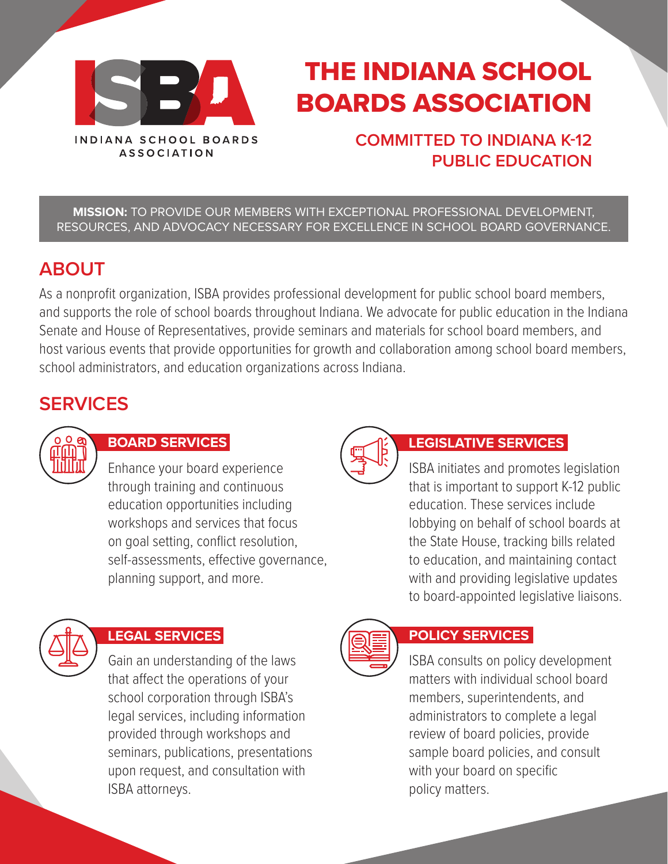

# THE INDIANA SCHOOL BOARDS ASSOCIATION

### **COMMITTED TO INDIANA K-12 PUBLIC EDUCATION**

**MISSION:** TO PROVIDE OUR MEMBERS WITH EXCEPTIONAL PROFESSIONAL DEVELOPMENT, RESOURCES, AND ADVOCACY NECESSARY FOR EXCELLENCE IN SCHOOL BOARD GOVERNANCE.

### **ABOUT**

As a nonprofit organization, ISBA provides professional development for public school board members, and supports the role of school boards throughout Indiana. We advocate for public education in the Indiana Senate and House of Representatives, provide seminars and materials for school board members, and host various events that provide opportunities for growth and collaboration among school board members, school administrators, and education organizations across Indiana.

## **SERVICES**



### **BOARD SERVICES LEGISLATIVE SERVICES**

Enhance your board experience through training and continuous education opportunities including workshops and services that focus on goal setting, conflict resolution, self-assessments, effective governance, planning support, and more.



Gain an understanding of the laws that affect the operations of your school corporation through ISBA's legal services, including information provided through workshops and seminars, publications, presentations upon request, and consultation with ISBA attorneys.



### **LEGAL SERVICES POLICY SERVICES**

ISBA consults on policy development matters with individual school board members, superintendents, and administrators to complete a legal review of board policies, provide sample board policies, and consult with your board on specific policy matters.

ISBA initiates and promotes legislation that is important to support K-12 public

lobbying on behalf of school boards at the State House, tracking bills related to education, and maintaining contact with and providing legislative updates to board-appointed legislative liaisons.

education. These services include